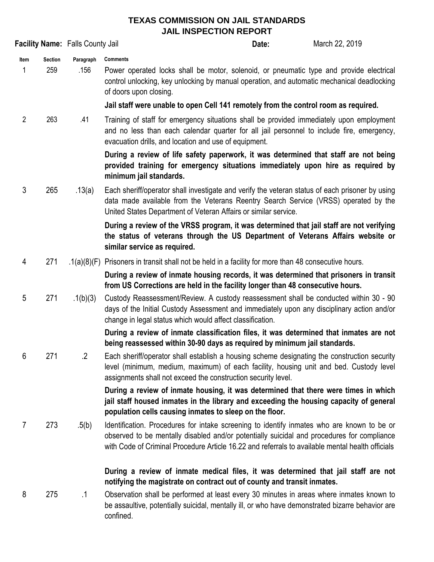## **TEXAS COMMISSION ON JAIL STANDARDS JAIL INSPECTION REPORT**

**Date: Item Section Paragraph** 1 259 .156 2 263 .41 3 265 .13(a) 4 271 .1(a)(8)(F) Prisoners in transit shall not be held in a facility for more than 48 consecutive hours. 5 271 .1(b)(3) 6 271 .2 7 273 .5(b) 8 275 .1 **Comments** Identification. Procedures for intake screening to identify inmates who are known to be or observed to be mentally disabled and/or potentially suicidal and procedures for compliance with Code of Criminal Procedure Article 16.22 and referrals to available mental health officials March 22, 2019 Training of staff for emergency situations shall be provided immediately upon employment and no less than each calendar quarter for all jail personnel to include fire, emergency, evacuation drills, and location and use of equipment. **During a review of life safety paperwork, it was determined that staff are not being provided training for emergency situations immediately upon hire as required by minimum jail standards.** Each sheriff/operator shall investigate and verify the veteran status of each prisoner by using data made available from the Veterans Reentry Search Service (VRSS) operated by the United States Department of Veteran Affairs or similar service. **During a review of the VRSS program, it was determined that jail staff are not verifying the status of veterans through the US Department of Veterans Affairs website or similar service as required.** Custody Reassessment/Review. A custody reassessment shall be conducted within 30 - 90 days of the Initial Custody Assessment and immediately upon any disciplinary action and/or change in legal status which would affect classification. **During a review of inmate classification files, it was determined that inmates are not being reassessed within 30-90 days as required by minimum jail standards. During a review of inmate housing records, it was determined that prisoners in transit from US Corrections are held in the facility longer than 48 consecutive hours. Facility Name:** Falls County Jail **During a review of inmate medical files, it was determined that jail staff are not notifying the magistrate on contract out of county and transit inmates.** Observation shall be performed at least every 30 minutes in areas where inmates known to be assaultive, potentially suicidal, mentally ill, or who have demonstrated bizarre behavior are confined. Each sheriff/operator shall establish a housing scheme designating the construction security level (minimum, medium, maximum) of each facility, housing unit and bed. Custody level assignments shall not exceed the construction security level. **During a review of inmate housing, it was determined that there were times in which jail staff housed inmates in the library and exceeding the housing capacity of general population cells causing inmates to sleep on the floor.** Power operated locks shall be motor, solenoid, or pneumatic type and provide electrical control unlocking, key unlocking by manual operation, and automatic mechanical deadlocking of doors upon closing. **Jail staff were unable to open Cell 141 remotely from the control room as required.**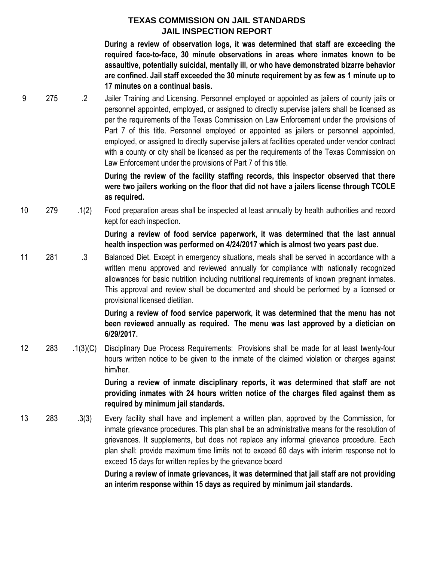## **TEXAS COMMISSION ON JAIL STANDARDS JAIL INSPECTION REPORT**

**During a review of observation logs, it was determined that staff are exceeding the required face-to-face, 30 minute observations in areas where inmates known to be assaultive, potentially suicidal, mentally ill, or who have demonstrated bizarre behavior are confined. Jail staff exceeded the 30 minute requirement by as few as 1 minute up to 17 minutes on a continual basis.**

9 275 .2 Jailer Training and Licensing. Personnel employed or appointed as jailers of county jails or personnel appointed, employed, or assigned to directly supervise jailers shall be licensed as per the requirements of the Texas Commission on Law Enforcement under the provisions of Part 7 of this title. Personnel employed or appointed as jailers or personnel appointed, employed, or assigned to directly supervise jailers at facilities operated under vendor contract with a county or city shall be licensed as per the requirements of the Texas Commission on Law Enforcement under the provisions of Part 7 of this title.

> **During the review of the facility staffing records, this inspector observed that there were two jailers working on the floor that did not have a jailers license through TCOLE as required.**

10 279 .1(2) Food preparation areas shall be inspected at least annually by health authorities and record kept for each inspection.

> **During a review of food service paperwork, it was determined that the last annual health inspection was performed on 4/24/2017 which is almost two years past due.**

11 281 .3 Balanced Diet. Except in emergency situations, meals shall be served in accordance with a written menu approved and reviewed annually for compliance with nationally recognized allowances for basic nutrition including nutritional requirements of known pregnant inmates. This approval and review shall be documented and should be performed by a licensed or provisional licensed dietitian.

> **During a review of food service paperwork, it was determined that the menu has not been reviewed annually as required. The menu was last approved by a dietician on 6/29/2017.**

12 283 .1(3)(C) Disciplinary Due Process Requirements: Provisions shall be made for at least twenty-four hours written notice to be given to the inmate of the claimed violation or charges against him/her.

> **During a review of inmate disciplinary reports, it was determined that staff are not providing inmates with 24 hours written notice of the charges filed against them as required by minimum jail standards.**

13 283 .3(3) Every facility shall have and implement a written plan, approved by the Commission, for inmate grievance procedures. This plan shall be an administrative means for the resolution of grievances. It supplements, but does not replace any informal grievance procedure. Each plan shall: provide maximum time limits not to exceed 60 days with interim response not to exceed 15 days for written replies by the grievance board

> **During a review of inmate grievances, it was determined that jail staff are not providing an interim response within 15 days as required by minimum jail standards.**